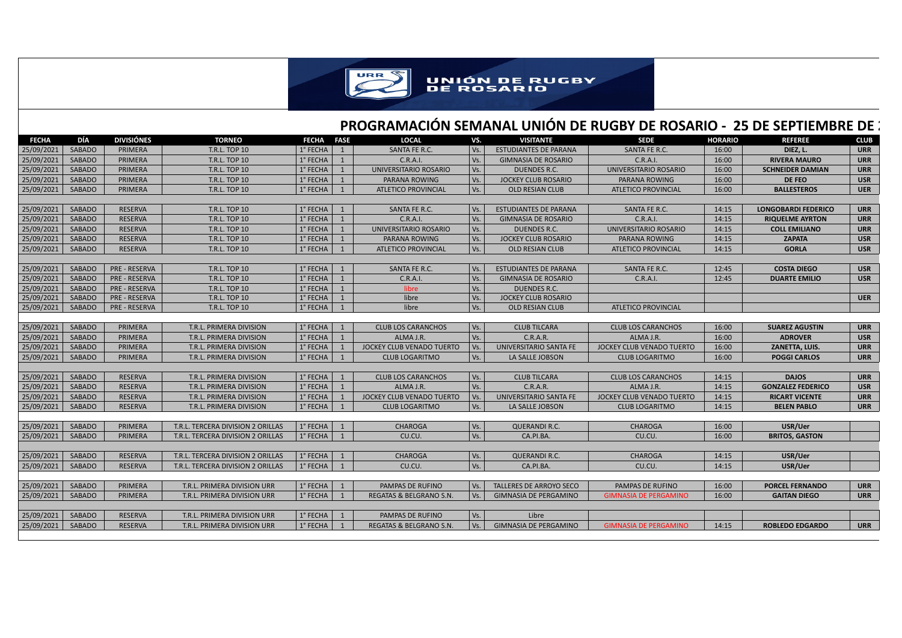

## **PROGRAMACIÓN SEMANAL UNIÓN DE RUGBY DE ROSARIO - 25 DE SEPTIEMBRE DE 2**

| <b>FECHA</b> | DÍA           | <b>DIVISIÓNES</b>    | <b>TORNEO</b>                     | <b>FECHA</b> | <b>FASE</b>  | <b>LOCAL</b>               | VS. | <b>VISITANTE</b>               | <b>SEDE</b>                  | <b>HORARIO</b> | <b>REFEREE</b>             | <b>CLUB</b> |
|--------------|---------------|----------------------|-----------------------------------|--------------|--------------|----------------------------|-----|--------------------------------|------------------------------|----------------|----------------------------|-------------|
| 25/09/2021   | <b>SABADO</b> | <b>PRIMERA</b>       | <b>T.R.L. TOP 10</b>              | 1° FECHA     | $\mathbf{1}$ | SANTA FE R.C.              | Vs. | <b>ESTUDIANTES DE PARANA</b>   | SANTA FE R.C.                | 16:00          | DIEZ, L.                   | <b>URR</b>  |
| 25/09/2021   | SABADO        | PRIMERA              | <b>T.R.L. TOP 10</b>              | 1° FECHA     | $\mathbf{1}$ | C.R.A.I.                   | Vs. | <b>GIMNASIA DE ROSARIO</b>     | C.R.A.I.                     | 16:00          | <b>RIVERA MAURO</b>        | <b>URR</b>  |
| 25/09/2021   | <b>SABADO</b> | PRIMERA              | <b>T.R.L. TOP 10</b>              | 1° FECHA     | $\mathbf{1}$ | UNIVERSITARIO ROSARIO      | Vs. | DUENDES R.C.                   | UNIVERSITARIO ROSARIO        | 16:00          | <b>SCHNEIDER DAMIAN</b>    | <b>URR</b>  |
| 25/09/2021   | SABADO        | PRIMERA              | <b>T.R.L. TOP 10</b>              | 1° FECHA     | $\mathbf{1}$ | PARANA ROWING              | Vs. | <b>JOCKEY CLUB ROSARIO</b>     | PARANA ROWING                | 16:00          | <b>DE FEO</b>              | <b>USR</b>  |
| 25/09/2021   | <b>SABADO</b> | <b>PRIMERA</b>       | <b>T.R.L. TOP 10</b>              | 1° FECHA     | 1            | <b>ATLETICO PROVINCIAL</b> | Vs. | <b>OLD RESIAN CLUB</b>         | <b>ATLETICO PROVINCIAL</b>   | 16:00          | <b>BALLESTEROS</b>         | <b>UER</b>  |
|              |               |                      |                                   |              |              |                            |     |                                |                              |                |                            |             |
| 25/09/2021   | <b>SABADO</b> | <b>RESERVA</b>       | T.R.L. TOP 10                     | 1° FECHA     | $\mathbf{1}$ | SANTA FE R.C.              | Vs. | <b>ESTUDIANTES DE PARANA</b>   | SANTA FE R.C.                | 14:15          | <b>LONGOBARDI FEDERICO</b> | <b>URR</b>  |
| 25/09/2021   | SABADO        | <b>RESERVA</b>       | <b>T.R.L. TOP 10</b>              | 1° FECHA     | $\mathbf{1}$ | C.R.A.I.                   | Vs. | <b>GIMNASIA DE ROSARIO</b>     | C.R.A.I.                     | 14:15          | <b>RIQUELME AYRTON</b>     | <b>URR</b>  |
| 25/09/2021   | SABADO        | <b>RESERVA</b>       | <b>T.R.L. TOP 10</b>              | 1° FECHA     | $\mathbf{1}$ | UNIVERSITARIO ROSARIO      | Vs. | <b>DUENDES R.C.</b>            | UNIVERSITARIO ROSARIO        | 14:15          | <b>COLL EMILIANO</b>       | <b>URR</b>  |
| 25/09/2021   | SABADO        | <b>RESERVA</b>       | <b>T.R.L. TOP 10</b>              | 1° FECHA     | $\mathbf{1}$ | PARANA ROWING              | Vs. | <b>JOCKEY CLUB ROSARIO</b>     | PARANA ROWING                | 14:15          | <b>ZAPATA</b>              | <b>USR</b>  |
| 25/09/2021   | SABADO        | <b>RESERVA</b>       | <b>T.R.L. TOP 10</b>              | 1° FECHA     | 1            | <b>ATLETICO PROVINCIAL</b> | Vs. | <b>OLD RESIAN CLUB</b>         | <b>ATLETICO PROVINCIAL</b>   | 14:15          | <b>GORLA</b>               | <b>USR</b>  |
|              |               |                      |                                   |              |              |                            |     |                                |                              |                |                            |             |
| 25/09/2021   | SABADO        | <b>PRE - RESERVA</b> | <b>T.R.L. TOP 10</b>              | 1° FECHA     | 1            | SANTA FE R.C.              | Vs. | <b>ESTUDIANTES DE PARANA</b>   | SANTA FE R.C.                | 12:45          | <b>COSTA DIEGO</b>         | <b>USR</b>  |
| 25/09/2021   | SABADO        | <b>PRE - RESERVA</b> | <b>T.R.L. TOP 10</b>              | 1° FECHA     | 1            | C.R.A.I.                   | Vs. | <b>GIMNASIA DE ROSARIO</b>     | C.R.A.I.                     | 12:45          | <b>DUARTE EMILIO</b>       | <b>USR</b>  |
| 25/09/2021   | SABADO        | <b>PRE - RESERVA</b> | <b>T.R.L. TOP 10</b>              | 1° FECHA     | $\mathbf{1}$ | libre                      | Vs. | <b>DUENDES R.C.</b>            |                              |                |                            |             |
| 25/09/2021   | SABADO        | <b>PRE - RESERVA</b> | <b>T.R.L. TOP 10</b>              | 1° FECHA     | $\mathbf{1}$ | libre                      | Vs. | <b>JOCKEY CLUB ROSARIO</b>     |                              |                |                            | <b>UER</b>  |
| 25/09/2021   | SABADO        | <b>PRE - RESERVA</b> | <b>T.R.L. TOP 10</b>              | 1° FECHA     | $\mathbf{1}$ | libre                      | Vs. | <b>OLD RESIAN CLUB</b>         | <b>ATLETICO PROVINCIAL</b>   |                |                            |             |
|              |               |                      |                                   |              |              |                            |     |                                |                              |                |                            |             |
| 25/09/2021   | SABADO        | PRIMERA              | T.R.L. PRIMERA DIVISION           | 1° FECHA     | $\mathbf{1}$ | <b>CLUB LOS CARANCHOS</b>  | Vs. | <b>CLUB TILCARA</b>            | <b>CLUB LOS CARANCHOS</b>    | 16:00          | <b>SUAREZ AGUSTIN</b>      | <b>URR</b>  |
| 25/09/2021   | SABADO        | PRIMERA              | T.R.L. PRIMERA DIVISION           | 1° FECHA     | $\mathbf{1}$ | ALMA J.R.                  | Vs. | C.R.A.R.                       | ALMA J.R.                    | 16:00          | <b>ADROVER</b>             | <b>USR</b>  |
| 25/09/2021   | <b>SABADO</b> | <b>PRIMERA</b>       | T.R.L. PRIMERA DIVISION           | 1° FECHA     | $\mathbf{1}$ | JOCKEY CLUB VENADO TUERTO  | Vs. | UNIVERSITARIO SANTA FE         | JOCKEY CLUB VENADO TUERTO    | 16:00          | <b>ZANETTA, LUIS.</b>      | <b>URR</b>  |
| 25/09/2021   | <b>SABADO</b> | <b>PRIMERA</b>       | T.R.L. PRIMERA DIVISION           | 1° FECHA     | $\mathbf{1}$ | <b>CLUB LOGARITMO</b>      | Vs. | LA SALLE JOBSON                | <b>CLUB LOGARITMO</b>        | 16:00          | <b>POGGI CARLOS</b>        | <b>URR</b>  |
|              |               |                      |                                   |              |              |                            |     |                                |                              |                |                            |             |
| 25/09/2021   | SABADO        | <b>RESERVA</b>       | T.R.L. PRIMERA DIVISION           | 1° FECHA     | 1            | <b>CLUB LOS CARANCHOS</b>  | Vs. | <b>CLUB TILCARA</b>            | <b>CLUB LOS CARANCHOS</b>    | 14:15          | <b>DAJOS</b>               | <b>URR</b>  |
| 25/09/2021   | SABADO        | <b>RESERVA</b>       | T.R.L. PRIMERA DIVISION           | 1° FECHA     | $\mathbf{1}$ | ALMA J.R.                  | Vs. | C.R.A.R.                       | ALMA J.R.                    | 14:15          | <b>GONZALEZ FEDERICO</b>   | <b>USR</b>  |
| 25/09/2021   | SABADO        | <b>RESERVA</b>       | T.R.L. PRIMERA DIVISION           | 1° FECHA     | $\mathbf{1}$ | JOCKEY CLUB VENADO TUERTO  | Vs. | UNIVERSITARIO SANTA FE         | JOCKEY CLUB VENADO TUERTO    | 14:15          | <b>RICART VICENTE</b>      | <b>URR</b>  |
| 25/09/2021   | SABADO        | <b>RESERVA</b>       | T.R.L. PRIMERA DIVISION           | 1° FECHA     | 1            | <b>CLUB LOGARITMO</b>      | Vs. | LA SALLE JOBSON                | <b>CLUB LOGARITMO</b>        | 14:15          | <b>BELEN PABLO</b>         | <b>URR</b>  |
|              |               |                      |                                   |              |              |                            |     |                                |                              |                |                            |             |
| 25/09/2021   | SABADO        | PRIMERA              | T.R.L. TERCERA DIVISION 2 ORILLAS | 1° FECHA     | 1            | <b>CHAROGA</b>             | Vs. | <b>QUERANDI R.C.</b>           | <b>CHAROGA</b>               | 16:00          | USR/Uer                    |             |
| 25/09/2021   | SABADO        | PRIMERA              | T.R.L. TERCERA DIVISION 2 ORILLAS | 1° FECHA     | 1            | CU.CU.                     | Vs. | CA.PI.BA.                      | CU.CU.                       | 16:00          | <b>BRITOS, GASTON</b>      |             |
|              |               |                      |                                   |              |              |                            |     |                                |                              |                |                            |             |
| 25/09/2021   | SABADO        | <b>RESERVA</b>       | T.R.L. TERCERA DIVISION 2 ORILLAS | 1° FECHA     | 1            | <b>CHAROGA</b>             | Vs. | <b>QUERANDI R.C.</b>           | <b>CHAROGA</b>               | 14:15          | USR/Uer                    |             |
| 25/09/2021   | SABADO        | <b>RESERVA</b>       | T.R.L. TERCERA DIVISION 2 ORILLAS | 1° FECHA     | 1            | CU.CU.                     | Vs. | CA.PI.BA.                      | CU.CU.                       | 14:15          | USR/Uer                    |             |
|              |               |                      |                                   |              |              |                            |     |                                |                              |                |                            |             |
| 25/09/2021   | SABADO        | PRIMERA              | T.R.L. PRIMERA DIVISION URR       | 1° FECHA     | 1            | PAMPAS DE RUFINO           | Vs. | <b>TALLERES DE ARROYO SECO</b> | PAMPAS DE RUFINO             | 16:00          | <b>PORCEL FERNANDO</b>     | <b>URR</b>  |
| 25/09/2021   | SABADO        | PRIMERA              | T.R.L. PRIMERA DIVISION URR       | 1° FECHA     | 1            | REGATAS & BELGRANO S.N.    | Vs. | <b>GIMNASIA DE PERGAMINO</b>   | <b>GIMNASIA DE PERGAMINO</b> | 16:00          | <b>GAITAN DIEGO</b>        | <b>URR</b>  |
|              |               |                      |                                   |              |              |                            |     |                                |                              |                |                            |             |
| 25/09/2021   | SABADO        | <b>RESERVA</b>       | T.R.L. PRIMERA DIVISION URR       | 1° FECHA     | $\mathbf{1}$ | PAMPAS DE RUFINO           | Vs. | Libre                          |                              |                |                            |             |
| 25/09/2021   | SABADO        | <b>RESERVA</b>       | T.R.L. PRIMERA DIVISION URR       | 1° FECHA     | 1            | REGATAS & BELGRANO S.N.    | Vs. | <b>GIMNASIA DE PERGAMINO</b>   | <b>GIMNASIA DE PERGAMINO</b> | 14:15          | <b>ROBLEDO EDGARDO</b>     | <b>URR</b>  |
|              |               |                      |                                   |              |              |                            |     |                                |                              |                |                            |             |